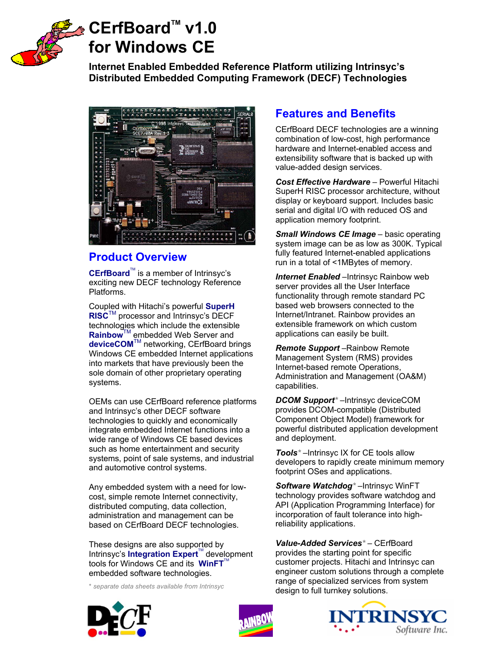

# CErfBoard<sup>™</sup> v1.0 **for Windows CE**

**Internet Enabled Embedded Reference Platform utilizing Intrinsyc's Distributed Embedded Computing Framework (DECF) Technologies**



# **Product Overview**

CErfBoard<sup>™</sup> is a member of Intrinsyc's exciting new DECF technology Reference Platforms.

Coupled with Hitachi's powerful **SuperH RISC**TM processor and Intrinsyc's DECF technologies which include the extensible **Rainbow**™ embedded Web Server and **deviceCOM**TM networking, CErfBoard brings Windows CE embedded Internet applications into markets that have previously been the sole domain of other proprietary operating systems.

OEMs can use CErfBoard reference platforms and Intrinsyc's other DECF software technologies to quickly and economically integrate embedded Internet functions into a wide range of Windows CE based devices such as home entertainment and security systems, point of sale systems, and industrial and automotive control systems.

Any embedded system with a need for lowcost, simple remote Internet connectivity, distributed computing, data collection, administration and management can be based on CErfBoard DECF technologies.

These designs are also supported by Intrinsyc's **Integration Expert<sup>™</sup> development** tools for Windows CE and its **WinFT**<sup>T</sup> embedded software technologies.

\* *separate data sheets available from Intrinsyc*

# **Features and Benefits**

CErfBoard DECF technologies are a winning combination of low-cost, high performance hardware and Internet-enabled access and extensibility software that is backed up with value-added design services.

*Cost Effective Hardware* – Powerful Hitachi SuperH RISC processor architecture, without display or keyboard support. Includes basic serial and digital I/O with reduced OS and application memory footprint.

*Small Windows CE Image – basic operating* system image can be as low as 300K. Typical fully featured Internet-enabled applications run in a total of <1MBytes of memory.

**Internet Enabled** – Intrinsyc Rainbow web server provides all the User Interface functionality through remote standard PC based web browsers connected to the Internet/Intranet. Rainbow provides an extensible framework on which custom applications can easily be built.

*Remote Support* –Rainbow Remote Management System (RMS) provides Internet-based remote Operations, Administration and Management (OA&M) capabilities.

*DCOM Support\** –Intrinsyc deviceCOM provides DCOM-compatible (Distributed Component Object Model) framework for powerful distributed application development and deployment.

*Tools\** –Intrinsyc IX for CE tools allow developers to rapidly create minimum memory footprint OSes and applications.

*Software Watchdog\** –Intrinsyc WinFT technology provides software watchdog and API (Application Programming Interface) for incorporation of fault tolerance into highreliability applications.

*Value-Added Services\** – CErfBoard provides the starting point for specific customer projects. Hitachi and Intrinsyc can engineer custom solutions through a complete range of specialized services from system design to full turnkey solutions.